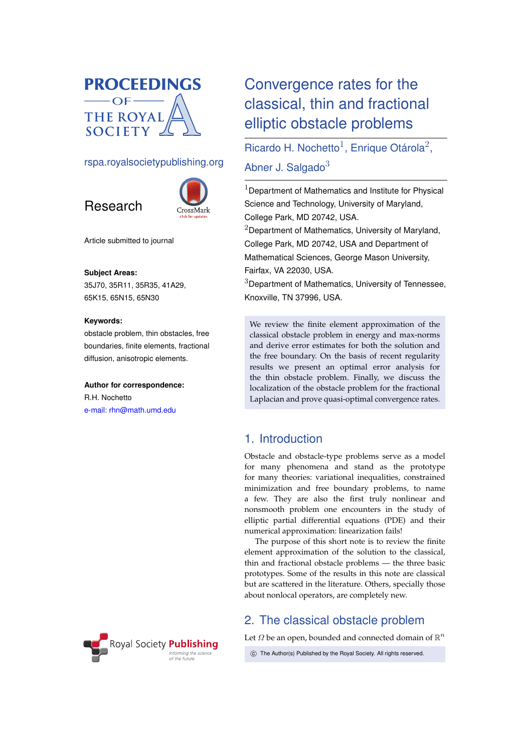

# rspa.royalsocietypublishing.org





Article submitted to journal

#### **Subject Areas:**

35J70, 35R11, 35R35, 41A29, 65K15, 65N15, 65N30

#### **Keywords:**

obstacle problem, thin obstacles, free boundaries, finite elements, fractional diffusion, anisotropic elements.

#### **Author for correspondence:**

R.H. Nochetto [e-mail: rhn@math.umd.edu](mailto:rhn@math.umd.edu)



# Convergence rates for the classical, thin and fractional elliptic obstacle problems

Ricardo H. Nochetto<sup>1</sup>, Enrique Otárola<sup>2</sup>,

Abner J. Salgado $3$ 

 $1$ Department of Mathematics and Institute for Physical Science and Technology, University of Maryland, College Park, MD 20742, USA.

 $2$ Department of Mathematics, University of Maryland, College Park, MD 20742, USA and Department of Mathematical Sciences, George Mason University, Fairfax, VA 22030, USA.

<sup>3</sup>Department of Mathematics, University of Tennessee, Knoxville, TN 37996, USA.

We review the finite element approximation of the classical obstacle problem in energy and max-norms and derive error estimates for both the solution and the free boundary. On the basis of recent regularity results we present an optimal error analysis for the thin obstacle problem. Finally, we discuss the localization of the obstacle problem for the fractional Laplacian and prove quasi-optimal convergence rates.

# 1. Introduction

Obstacle and obstacle-type problems serve as a model for many phenomena and stand as the prototype for many theories: variational inequalities, constrained minimization and free boundary problems, to name a few. They are also the first truly nonlinear and nonsmooth problem one encounters in the study of elliptic partial differential equations (PDE) and their numerical approximation: linearization fails!

The purpose of this short note is to review the finite element approximation of the solution to the classical, thin and fractional obstacle problems — the three basic prototypes. Some of the results in this note are classical but are scattered in the literature. Others, specially those about nonlocal operators, are completely new.

# <span id="page-0-0"></span>2. The classical obstacle problem

Let  $\Omega$  be an open, bounded and connected domain of  $\mathbb{R}^n$ 

c The Author(s) Published by the Royal Society. All rights reserved.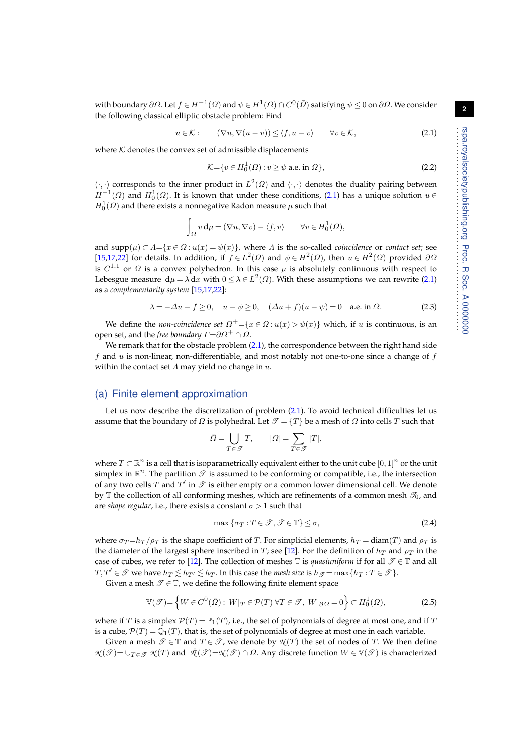with boundary  $\partial\Omega.$  Let  $f\in H^{-1}(\Omega)$  and  $\psi\in H^1(\Omega)\cap C^0(\bar \Omega)$  satisfying  $\psi\leq 0$  on  $\partial\Omega.$  We consider the following classical elliptic obstacle problem: Find

<span id="page-1-0"></span>
$$
u \in \mathcal{K} : \qquad (\nabla u, \nabla (u - v)) \le \langle f, u - v \rangle \qquad \forall v \in \mathcal{K}, \tag{2.1}
$$

where  $K$  denotes the convex set of admissible displacements

$$
\mathcal{K} = \{ v \in H_0^1(\Omega) : v \ge \psi \text{ a.e. in } \Omega \},\tag{2.2}
$$

 $(\cdot, \cdot)$  corresponds to the inner product in  $L^2(\Omega)$  and  $\langle \cdot, \cdot \rangle$  denotes the duality pairing between  $H^{-1}(\Omega)$  and  $H_0^1(\Omega)$ . It is known that under these conditions, [\(2.1\)](#page-1-0) has a unique solution  $u \in$  $H_0^1(\varOmega)$  and there exists a nonnegative Radon measure  $\mu$  such that

$$
\int_{\Omega} v \, \mathrm{d}\mu = (\nabla u, \nabla v) - \langle f, v \rangle \qquad \forall v \in H_0^1(\Omega),
$$

and  $\text{supp}(\mu) \subset \Lambda = \{x \in \Omega : u(x) = \psi(x)\}$ , where  $\Lambda$  is the so-called *coincidence* or *contact set*; see [\[15](#page-13-0)[,17](#page-13-1)[,22\]](#page-13-2) for details. In addition, if  $f \in L^2(\Omega)$  and  $\psi \in H^2(\Omega)$ , then  $u \in H^2(\Omega)$  provided  $\partial \Omega$ is  $C^{1,1}$  or  $\Omega$  is a convex polyhedron. In this case  $\mu$  is absolutely continuous with respect to Lebesgue measure  $d\mu = \lambda dx$  with  $0 \leq \lambda \in L^2(\Omega)$ . With these assumptions we can rewrite [\(2.1\)](#page-1-0) as a *complementarity system* [\[15,](#page-13-0)[17](#page-13-1)[,22\]](#page-13-2):

<span id="page-1-1"></span>
$$
\lambda = -\Delta u - f \ge 0, \quad u - \psi \ge 0, \quad (\Delta u + f)(u - \psi) = 0 \quad \text{a.e. in } \Omega. \tag{2.3}
$$

We define the *non-coincidence set*  $\Omega^{+} = \{x \in \Omega : u(x) > \psi(x)\}$  which, if u is continuous, is an open set, and the *free boundary*  $\Gamma = \partial \Omega^+ \cap \Omega$ .

We remark that for the obstacle problem [\(2.1\)](#page-1-0), the correspondence between the right hand side f and  $u$  is non-linear, non-differentiable, and most notably not one-to-one since a change of  $f$ within the contact set  $\Lambda$  may yield no change in  $u$ .

#### <span id="page-1-2"></span>(a) Finite element approximation

Let us now describe the discretization of problem [\(2.1\)](#page-1-0). To avoid technical difficulties let us assume that the boundary of  $\Omega$  is polyhedral. Let  $\mathcal{T} = \{T\}$  be a mesh of  $\Omega$  into cells T such that

$$
\bar{\varOmega} = \bigcup_{T \in \mathcal{T}} T, \qquad |\varOmega| = \sum_{T \in \mathcal{T}} |T|,
$$

where  $T \subset \mathbb{R}^n$  is a cell that is isoparametrically equivalent either to the unit cube  $[0,1]^n$  or the unit simplex in  $\mathbb{R}^n$ . The partition  $\mathscr{T}$  is assumed to be conforming or compatible, i.e., the intersection of any two cells T and  $T'$  in  $\mathscr T$  is either empty or a common lower dimensional cell. We denote by  $\mathbb T$  the collection of all conforming meshes, which are refinements of a common mesh  $\mathcal{F}_0$ , and are *shape regular*, i.e., there exists a constant  $\sigma > 1$  such that

$$
\max\{\sigma_T : T \in \mathcal{T}, \mathcal{T} \in \mathbb{T}\} \le \sigma,\tag{2.4}
$$

where  $\sigma_T = h_T / \rho_T$  is the shape coefficient of T. For simplicial elements,  $h_T = \text{diam}(T)$  and  $\rho_T$  is the diameter of the largest sphere inscribed in T; see [\[12\]](#page-13-3). For the definition of  $h_T$  and  $\rho_T$  in the case of cubes, we refer to [\[12\]](#page-13-3). The collection of meshes  $\mathbb T$  is *quasiuniform* if for all  $\mathscr T \in \mathbb T$  and all  $T, T' \in \mathcal{T}$  we have  $h_T \leq h_{T'} \leq h_T$ . In this case the *mesh size* is  $h_{\mathcal{T}} = \max\{h_T : T \in \mathcal{T}\}\$ .

Given a mesh  $\mathscr{T} \in \mathbb{T}$ , we define the following finite element space

$$
\mathbb{V}(\mathscr{T}) = \left\{ W \in C^0(\bar{\Omega}) : W|_{T} \in \mathcal{P}(T) \,\forall T \in \mathscr{T}, \, W|_{\partial \Omega} = 0 \right\} \subset H_0^1(\Omega),\tag{2.5}
$$

where if T is a simplex  $\mathcal{P}(T) = \mathbb{P}_1(T)$ , i.e., the set of polynomials of degree at most one, and if T is a cube,  $\mathcal{P}(T) = \mathbb{Q}_1(T)$ , that is, the set of polynomials of degree at most one in each variable.

Given a mesh  $\mathcal{T} \in \mathbb{T}$  and  $T \in \mathcal{T}$ , we denote by  $\mathcal{N}(T)$  the set of nodes of T. We then define  $N(\mathscr{T}) = \cup_{T \in \mathscr{T}} N(T)$  and  $\mathscr{X}(\mathscr{T}) = \mathscr{N}(\mathscr{T}) \cap \Omega$ . Any discrete function  $W \in \mathbb{V}(\mathscr{T})$  is characterized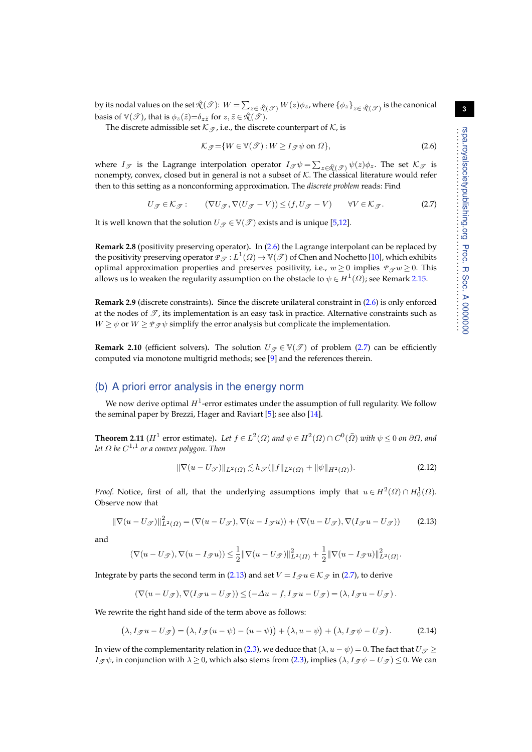by its nodal values on the set  $\mathcal{R}(\mathscr{T})$ :  $W=\sum_{z\in\mathcal{R}(\mathscr{T})}W(z)\phi_z$ , where  $\{\phi_z\}_{z\in\mathcal{R}(\mathscr{T})}$  is the canonical basis of  $\mathbb{V}(\mathscr{T})$ , that is  $\phi_z(\tilde{z}) = \delta_{z\tilde{z}}$  for  $z, \tilde{z} \in \mathcal{R}(\mathscr{T})$ .

The discrete admissible set  $K_{\mathcal{T}}$ , i.e., the discrete counterpart of  $K$ , is

<span id="page-2-0"></span>
$$
\mathcal{K}_{\mathcal{F}} = \{ W \in \mathbb{V}(\mathcal{F}) : W \ge I_{\mathcal{F}} \psi \text{ on } \Omega \},\tag{2.6}
$$

where  $I_{\mathscr{T}}$  is the Lagrange interpolation operator  $I_{\mathscr{T}}\psi=\sum_{z\in\mathring{\mathcal{N}}(\mathscr{T})}\psi(z)\phi_z$ . The set  $\mathcal{K}_{\mathscr{T}}$  is nonempty, convex, closed but in general is not a subset of  $K$ . The classical literature would refer then to this setting as a nonconforming approximation. The *discrete problem* reads: Find

<span id="page-2-1"></span>
$$
U_{\mathcal{F}} \in \mathcal{K}_{\mathcal{F}}: \qquad (\nabla U_{\mathcal{F}}, \nabla (U_{\mathcal{F}} - V)) \le (f, U_{\mathcal{F}} - V) \qquad \forall V \in \mathcal{K}_{\mathcal{F}}.
$$
 (2.7)

It is well known that the solution  $U_{\mathcal{T}} \in V(\mathcal{T})$  exists and is unique [\[5](#page-12-0)[,12\]](#page-13-3).

**Remark 2.8** (positivity preserving operator)**.** In [\(2.6\)](#page-2-0) the Lagrange interpolant can be replaced by the positivity preserving operator  $\mathcal{P}_{\mathcal{T}}:L^1(\varOmega)\to\mathbb{V}(\mathcal{T})$  of Chen and Nochetto [\[10\]](#page-13-4), which exhibits optimal approximation properties and preserves positivity, i.e.,  $w \ge 0$  implies  $P_{\mathcal{F}}w \ge 0$ . This allows us to weaken the regularity assumption on the obstacle to  $\psi\in H^1(\varOmega)$ ; see Remark [2.15.](#page-3-0)

**Remark 2.9** (discrete constraints)**.** Since the discrete unilateral constraint in [\(2.6\)](#page-2-0) is only enforced at the nodes of  $\mathcal{T}$ , its implementation is an easy task in practice. Alternative constraints such as  $W \ge \psi$  or  $W \ge \varrho_{\mathcal{F}} \psi$  simplify the error analysis but complicate the implementation.

**Remark 2.10** (efficient solvers). The solution  $U_{\mathcal{F}} \in V(\mathcal{F})$  of problem [\(2.7\)](#page-2-1) can be efficiently computed via monotone multigrid methods; see [\[9\]](#page-13-5) and the references therein.

## (b) A priori error analysis in the energy norm

We now derive optimal  $H^1$ -error estimates under the assumption of full regularity. We follow the seminal paper by Brezzi, Hager and Raviart [\[5\]](#page-12-0); see also [\[14\]](#page-13-6).

<span id="page-2-5"></span>**Theorem 2.11** ( $H^1$  error estimate). Let  $f \in L^2(\Omega)$  and  $\psi \in H^2(\Omega) \cap C^0(\bar{\Omega})$  with  $\psi \leq 0$  on  $\partial\Omega$ , and *let* Ω *be* C 1,1 *or a convex polygon. Then*

<span id="page-2-4"></span>
$$
\|\nabla(u - U_{\mathcal{F}})\|_{L^{2}(\Omega)} \lesssim h_{\mathcal{F}}(\|f\|_{L^{2}(\Omega)} + \|\psi\|_{H^{2}(\Omega)}).
$$
\n(2.12)

*Proof.* Notice, first of all, that the underlying assumptions imply that  $u \in H^2(\Omega) \cap H_0^1(\Omega)$ . Observe now that

<span id="page-2-2"></span>
$$
\|\nabla(u - U_{\mathscr{T}})\|_{L^{2}(\Omega)}^{2} = (\nabla(u - U_{\mathscr{T}}), \nabla(u - I_{\mathscr{T}}u)) + (\nabla(u - U_{\mathscr{T}}), \nabla(I_{\mathscr{T}}u - U_{\mathscr{T}}))
$$
(2.13)

and

$$
(\nabla(u - U_{\mathscr{T}}), \nabla(u - I_{\mathscr{T}}u)) \leq \frac{1}{2} ||\nabla(u - U_{\mathscr{T}})||_{L^2(\Omega)}^2 + \frac{1}{2} ||\nabla(u - I_{\mathscr{T}}u)||_{L^2(\Omega)}^2.
$$

Integrate by parts the second term in [\(2.13\)](#page-2-2) and set  $V = I_{\mathcal{I}} u \in \mathcal{K}_{\mathcal{I}}$  in [\(2.7\)](#page-2-1), to derive

$$
(\nabla(u - U_{\mathscr{T}}), \nabla(I_{\mathscr{T}}u - U_{\mathscr{T}})) \leq (-\Delta u - f, I_{\mathscr{T}}u - U_{\mathscr{T}}) = (\lambda, I_{\mathscr{T}}u - U_{\mathscr{T}}).
$$

We rewrite the right hand side of the term above as follows:

<span id="page-2-3"></span>
$$
(\lambda, I_{\mathscr{T}}u - U_{\mathscr{T}}) = (\lambda, I_{\mathscr{T}}(u - \psi) - (u - \psi)) + (\lambda, u - \psi) + (\lambda, I_{\mathscr{T}}\psi - U_{\mathscr{T}}). \tag{2.14}
$$

In view of the complementarity relation in [\(2.3\)](#page-1-1), we deduce that  $(\lambda, u - \psi) = 0$ . The fact that  $U_{\mathscr{T}} \geq$  $I_{\mathscr{F}}\psi$ , in conjunction with  $\lambda \geq 0$ , which also stems from [\(2.3\)](#page-1-1), implies  $(\lambda, I_{\mathscr{F}}\psi - U_{\mathscr{F}}) \leq 0$ . We can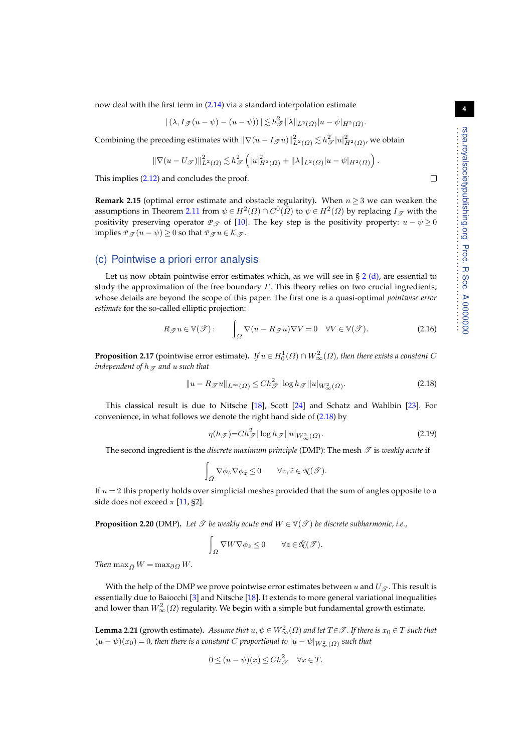now deal with the first term in [\(2.14\)](#page-2-3) via a standard interpolation estimate

$$
|(\lambda, I_{\mathscr{T}}(u - \psi) - (u - \psi))| \lesssim h_{\mathscr{T}}^2 ||\lambda||_{L^2(\Omega)} |u - \psi|_{H^2(\Omega)}.
$$

Combining the preceding estimates with  $\|\nabla(u-I_\mathcal{J} u)\|_{L^2(\varOmega)}^2\lesssim h_\mathcal{J}^2|u|_{H^2(\varOmega)}^2$ , we obtain

$$
\|\nabla(u-U_{\mathscr{T}})\|_{L^2(\Omega)}^2 \lesssim h_{\mathscr{T}}^2\left(|u|_{H^2(\Omega)}^2+||\lambda||_{L^2(\Omega)}|u-\psi|_{H^2(\Omega)}\right).
$$

This implies [\(2.12\)](#page-2-4) and concludes the proof.

<span id="page-3-0"></span>**Remark 2.15** (optimal error estimate and obstacle regularity). When  $n \geq 3$  we can weaken the assumptions in Theorem [2.11](#page-2-5) from  $\psi \in H^2(\varOmega) \cap C^0(\bar{\varOmega})$  to  $\psi \in H^2(\varOmega)$  by replacing  $I_{\mathscr{T}}$  with the positivity preserving operator  $P_{\mathcal{T}}$  of [\[10\]](#page-13-4). The key step is the positivity property:  $u - \psi \ge 0$ implies  $P_{\mathcal{T}}(u - \psi) \geq 0$  so that  $P_{\mathcal{T}}u \in \mathcal{K}_{\mathcal{T}}$ .

#### (c) Pointwise a priori error analysis

Let us now obtain pointwise error estimates which, as we will see in  $\S 2$  $\S 2$  [\(d\),](#page-5-0) are essential to study the approximation of the free boundary  $\Gamma$ . This theory relies on two crucial ingredients, whose details are beyond the scope of this paper. The first one is a quasi-optimal *pointwise error estimate* for the so-called elliptic projection:

$$
R_{\mathscr{T}}u \in \mathbb{V}(\mathscr{T}) : \qquad \int_{\Omega} \nabla(u - R_{\mathscr{T}}u)\nabla V = 0 \quad \forall V \in \mathbb{V}(\mathscr{T}). \tag{2.16}
$$

<span id="page-3-4"></span>**Proposition 2.17** (pointwise error estimate). If  $u \in H_0^1(\Omega) \cap W^2_\infty(\Omega)$ , then there exists a constant  $C$ *independent of*  $h_{\mathcal{T}}$  *and* u *such that* 

<span id="page-3-1"></span>
$$
||u - R_{\mathscr{T}}u||_{L^{\infty}(\Omega)} \le Ch_{\mathscr{T}}^2 |\log h_{\mathscr{T}}||u|_{W_{\infty}^2(\Omega)}.
$$
\n(2.18)

This classical result is due to Nitsche [\[18\]](#page-13-7), Scott [\[24\]](#page-13-8) and Schatz and Wahlbin [\[23\]](#page-13-9). For convenience, in what follows we denote the right hand side of [\(2.18\)](#page-3-1) by

<span id="page-3-2"></span>
$$
\eta(h_{\mathcal{F}}) = Ch_{\mathcal{F}}^2 |\log h_{\mathcal{F}}| |u|_{W_{\infty}^2(\Omega)}.
$$
\n(2.19)

The second ingredient is the *discrete maximum principle* (DMP): The mesh  $\mathscr T$  is *weakly acute* if

$$
\int_{\Omega} \nabla \phi_z \nabla \phi_{\tilde{z}} \leq 0 \qquad \forall z, \tilde{z} \in \mathcal{R}(\mathcal{T}).
$$

If  $n = 2$  this property holds over simplicial meshes provided that the sum of angles opposite to a side does not exceed  $\pi$  [\[11,](#page-13-10) §2].

<span id="page-3-3"></span>**Proposition 2.20** (DMP). Let  $\mathcal{T}$  be weakly acute and  $W \in \mathbb{V}(\mathcal{T})$  be discrete subharmonic, i.e.,

$$
\int_{\Omega} \nabla W \nabla \phi_z \leq 0 \qquad \forall z \in \mathcal{R}(\mathcal{F}).
$$

*Then* max $_{\overline{Q}} W = \max_{\partial \Omega} W$ .

With the help of the DMP we prove pointwise error estimates between u and  $U_{\mathcal{T}}$ . This result is essentially due to Baiocchi [\[3\]](#page-12-1) and Nitsche [\[18\]](#page-13-7). It extends to more general variational inequalities and lower than  $W_{\infty}^2(\Omega)$  regularity. We begin with a simple but fundamental growth estimate.

<span id="page-3-5"></span>**Lemma 2.21** (growth estimate). *Assume that*  $u, \psi \in W^2_{\infty}(\Omega)$  *and let*  $T \in \mathcal{T}$ . If there is  $x_0 \in T$  *such that*  $(u-\psi)(x_0)$  = 0, then there is a constant  $C$  proportional to  $|u-\psi|_{W^2_{\infty}(\varOmega)}$  such that

$$
0 \le (u - \psi)(x) \le Ch_{\mathcal{F}}^2 \quad \forall x \in T.
$$

 $\Box$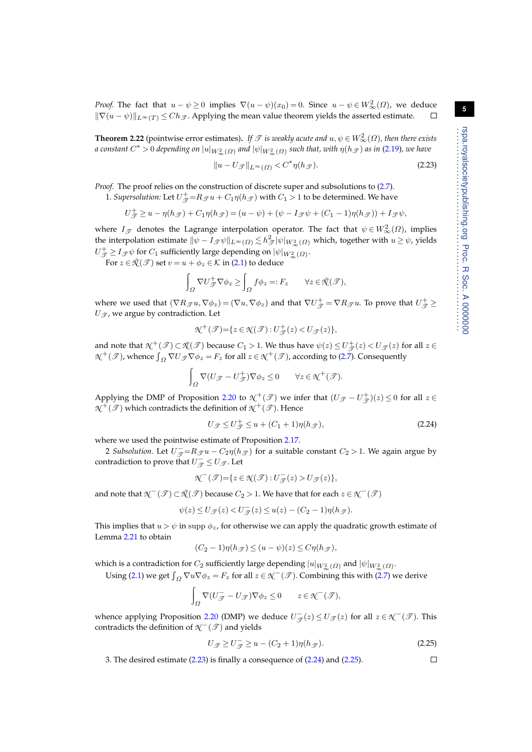*Proof.* The fact that  $u - \psi \ge 0$  implies  $\nabla (u - \psi)(x_0) = 0$ . Since  $u - \psi \in W^2_{\infty}(\Omega)$ , we deduce  $\|\nabla(u - \psi)\|_{L^{\infty}(T)} \le Ch_{\mathcal{F}}$ . Applying the mean value theorem yields the asserted estimate.

**Theorem 2.22** (pointwise error estimates). *If*  $\mathscr T$  *is weakly acute and*  $u, \psi \in W^2_{\infty}(\Omega)$ *, then there exists a* constant  $C^*$   $>$  0 depending on  $|u|_{W_\infty^2(\varOmega)}$  and  $|\psi|_{W_\infty^2(\varOmega)}$  such that, with  $\eta(h_\mathscr{T})$  as in [\(2.19\)](#page-3-2), we have

<span id="page-4-0"></span>
$$
||u - U_{\mathcal{F}}||_{L^{\infty}(\Omega)} < C^* \eta(h_{\mathcal{F}}). \tag{2.23}
$$

*Proof.* The proof relies on the construction of discrete super and subsolutions to  $(2.7)$ .

1. *Supersolution:* Let  $U_{\mathcal{T}}^+=R_{\mathcal{T}} u+C_1\eta(h_{\mathcal{T}})$  with  $C_1>1$  to be determined. We have

$$
U_{\mathcal{T}}^{+} \geq u - \eta(h_{\mathcal{T}}) + C_1 \eta(h_{\mathcal{T}}) = (u - \psi) + (\psi - I_{\mathcal{T}} \psi + (C_1 - 1)\eta(h_{\mathcal{T}})) + I_{\mathcal{T}} \psi,
$$

where  $I_{\mathcal{T}}$  denotes the Lagrange interpolation operator. The fact that  $\psi \in W^2_{\infty}(\Omega)$ , implies the interpolation estimate  $\|\psi - I_\mathscr{T}\psi\|_{L^\infty(\varOmega)} \lesssim h_\mathscr{T}^2 |\psi|_{W^2_\infty(\varOmega)}$  which, together with  $u \geq \psi$ , yields  $U^+_{\mathscr{T}} \geq I_{\mathscr{T}} \psi$  for  $C_1$  sufficiently large depending on  $|\psi|_{W^2_{\infty}(\Omega)}$ .

For  $z \in \mathcal{R}(\mathcal{T})$  set  $v = u + \phi_z \in \mathcal{K}$  in [\(2.1\)](#page-1-0) to deduce

$$
\int_{\Omega} \nabla U_{\mathscr{T}}^{+} \nabla \phi_{z} \ge \int_{\Omega} f \phi_{z} =: F_{z} \qquad \forall z \in \mathcal{R}(\mathscr{T}),
$$

where we used that  $(\nabla R_{\mathscr{T}} u, \nabla \phi_z) = (\nabla u, \nabla \phi_z)$  and that  $\nabla U_{\mathscr{T}}^+ = \nabla R_{\mathscr{T}} u$ . To prove that  $U_{\mathscr{T}}^+ \geq$  $U_{\mathscr{T}}$ , we argue by contradiction. Let

$$
\mathcal{N}^+(\mathcal{T}) = \{ z \in \mathcal{N}(\mathcal{T}) : U^+(\mathcal{Z}) < U^-(\mathcal{Z}) \},
$$

and note that  $\mathcal{N}^+(\mathcal{I}) \subset \mathcal{N}(\mathcal{I})$  because  $C_1 > 1$ . We thus have  $\psi(z) \leq U^+_{\mathcal{J}}(z) < U_{\mathcal{J}}(z)$  for all  $z \in$  $\mathcal{N}^+(\mathcal{I})$ , whence  $\int_{\Omega} \nabla U_{\mathcal{I}} \nabla \phi_z = F_z$  for all  $z \in \mathcal{N}^+(\mathcal{I})$ , according to [\(2.7\)](#page-2-1). Consequently

$$
\int_{\Omega} \nabla (U_{\mathscr{T}} - U_{\mathscr{T}}^{+}) \nabla \phi_{z} \leq 0 \qquad \forall z \in \mathcal{K}^{+}(\mathscr{T}).
$$

Applying the DMP of Proposition [2.20](#page-3-3) to  $\mathcal{N}^+(\mathcal{T})$  we infer that  $(U_{\mathcal{T}}-U_{\mathcal{T}}^+)(z) \leq 0$  for all  $z \in$  $\mathcal{N}^+(\mathscr{T})$  which contradicts the definition of  $\mathcal{N}^+(\mathscr{T})$ . Hence

<span id="page-4-1"></span>
$$
U_{\mathcal{T}} \leq U_{\mathcal{T}}^{+} \leq u + (C_1 + 1)\eta(h_{\mathcal{T}}),\tag{2.24}
$$

where we used the pointwise estimate of Proposition [2.17.](#page-3-4)

2 Subsolution. Let  $U_{\mathcal{T}} = R_{\mathcal{T}} u - C_2 \eta(h_{\mathcal{T}})$  for a suitable constant  $C_2 > 1$ . We again argue by contradiction to prove that  $U_{\overline{\mathscr{T}}}^- \leq U_{\mathscr{T}}$  . Let

$$
\mathcal{N}^-(\mathcal{F}) = \{ z \in \mathcal{N}(\mathcal{F}) : U_{\mathcal{F}}^-(z) > U_{\mathcal{F}}(z) \},\
$$

and note that  $\mathcal{N}^-(\mathcal{P})\subset \mathcal{N}(\mathcal{P})$  because  $C_2>1$ . We have that for each  $z\in \mathcal{N}^-(\mathcal{P})$ 

$$
\psi(z) \le U_{\mathcal{F}}(z) < U_{\mathcal{F}}^-(z) \le u(z) - (C_2 - 1)\eta(h_{\mathcal{F}}).
$$

This implies that  $u > \psi$  in supp  $\phi_z$ , for otherwise we can apply the quadratic growth estimate of Lemma [2.21](#page-3-5) to obtain

$$
(C_2 - 1)\eta(h_{\mathscr{T}}) \le (u - \psi)(z) \le C\eta(h_{\mathscr{T}}),
$$

which is a contradiction for  $C_2$  sufficiently large depending  $|u|_{W^2_{\infty}(\varOmega)}$  and  $|\psi|_{W^2_{\infty}(\varOmega)}$ .

Using [\(2.1\)](#page-1-0) we get  $\int_{\Omega} \nabla u \nabla \phi_z = F_z$  for all  $z \in \mathcal{K}^-(\mathcal{I})$ . Combining this with [\(2.7\)](#page-2-1) we derive

$$
\int_{\Omega} \nabla (U_{\mathcal{T}}^- - U_{\mathcal{T}}) \nabla \phi_z \le 0 \qquad z \in \mathcal{K}^-(\mathcal{T}),
$$

whence applying Proposition [2.20](#page-3-3) (DMP) we deduce  $U_{\mathcal{T}}^-(z) \leq U_{\mathcal{T}}(z)$  for all  $z \in \mathcal{K}^-(\mathcal{T})$ . This contradicts the definition of  $\mathcal{N}^-(\mathcal{I})$  and yields

<span id="page-4-2"></span>
$$
U_{\mathcal{F}} \ge U_{\mathcal{F}}^{-} \ge u - (C_2 + 1)\eta(h_{\mathcal{F}}). \tag{2.25}
$$

3. The desired estimate [\(2.23\)](#page-4-0) is finally a consequence of [\(2.24\)](#page-4-1) and [\(2.25\)](#page-4-2).

 $\Box$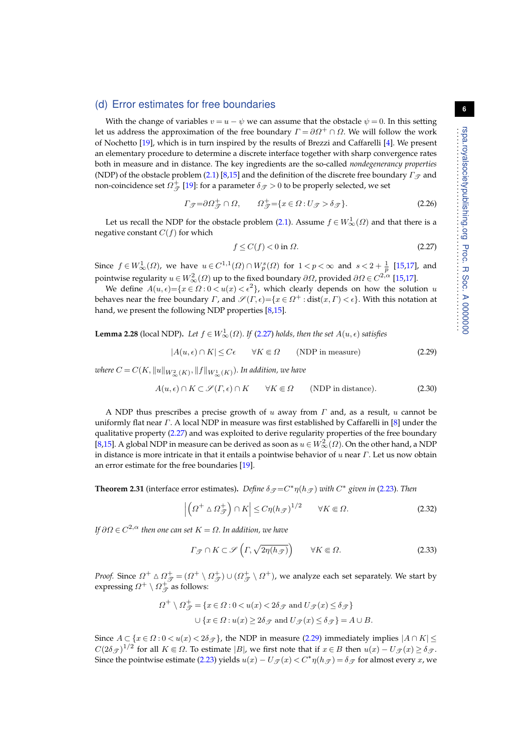#### <span id="page-5-0"></span>(d) Error estimates for free boundaries

With the change of variables  $v = u - \psi$  we can assume that the obstacle  $\psi = 0$ . In this setting let us address the approximation of the free boundary  $\Gamma = \partial \Omega^+ \cap \Omega$ . We will follow the work of Nochetto [\[19\]](#page-13-11), which is in turn inspired by the results of Brezzi and Caffarelli [\[4\]](#page-12-2). We present an elementary procedure to determine a discrete interface together with sharp convergence rates both in measure and in distance. The key ingredients are the so-called *nondegenerancy properties* (NDP) of the obstacle problem [\(2.1\)](#page-1-0) [\[8,](#page-13-12)[15\]](#page-13-0) and the definition of the discrete free boundary  $\Gamma_{\mathcal{F}}$  and non-coincidence set  $\varOmega_{\overline{{\mathscr{T}}}}^{+}$  [\[19\]](#page-13-11): for a parameter  $\delta_{{\mathscr{T}}}>0$  to be properly selected, we set

$$
\Gamma_{\mathcal{J}} = \partial \Omega_{\mathcal{J}}^{+} \cap \Omega, \qquad \Omega_{\mathcal{J}}^{+} = \{ x \in \Omega : U_{\mathcal{J}} > \delta_{\mathcal{J}} \}. \tag{2.26}
$$

Let us recall the NDP for the obstacle problem [\(2.1\)](#page-1-0). Assume  $f \in W^1_{\infty}(\Omega)$  and that there is a negative constant  $C(f)$  for which

<span id="page-5-1"></span>
$$
f \le C(f) < 0 \text{ in } \Omega. \tag{2.27}
$$

Since  $f \in W^1_\infty(\Omega)$ , we have  $u \in C^{1,1}(\Omega) \cap W^s_p(\Omega)$  for  $1 < p < \infty$  and  $s < 2 + \frac{1}{p}$  [\[15,](#page-13-0)[17\]](#page-13-1), and pointwise regularity  $u\in W^2_\infty(\varOmega)$  up to the fixed boundary  $\partial\varOmega$ , provided  $\partial\varOmega$  ∈  $C^{2,\alpha}$  [\[15,](#page-13-0)[17\]](#page-13-1).

We define  $A(u, \epsilon) = \{x \in \Omega : 0 < u(x) < \epsilon^2\}$ , which clearly depends on how the solution u behaves near the free boundary  $\varGamma$ , and  $\mathscr{S}(\varGamma,\epsilon) = \{x \in \varOmega^+ : \text{dist}(x,\varGamma) < \epsilon\}.$  With this notation at hand, we present the following NDP properties [\[8](#page-13-12)[,15\]](#page-13-0).

**Lemma 2.28** (local NDP). Let  $f \in W^1_\infty(\Omega)$ . If [\(2.27\)](#page-5-1) holds, then the set  $A(u, \epsilon)$  satisfies

<span id="page-5-2"></span>
$$
|A(u, \epsilon) \cap K| \le C\epsilon \qquad \forall K \in \Omega \qquad \text{(NDP in measure)} \tag{2.29}
$$

where  $C$  =  $C(K, \|u\|_{W^2_{\infty}(K)}, \|f\|_{W^1_{\infty}(K)}).$  In addition, we have

<span id="page-5-4"></span>
$$
A(u, \epsilon) \cap K \subset \mathcal{S}(I, \epsilon) \cap K \qquad \forall K \in \Omega \qquad \text{(NDP in distance)}.
$$
 (2.30)

A NDP thus prescribes a precise growth of u away from  $\Gamma$  and, as a result, u cannot be uniformly flat near  $\Gamma$ . A local NDP in measure was first established by Caffarelli in [\[8\]](#page-13-12) under the qualitative property [\(2.27\)](#page-5-1) and was exploited to derive regularity properties of the free boundary [\[8,](#page-13-12)[15\]](#page-13-0). A global NDP in measure can be derived as soon as  $u \in W^2_{\infty}(\Omega)$ . On the other hand, a NDP in distance is more intricate in that it entails a pointwise behavior of  $u$  near  $\Gamma$ . Let us now obtain an error estimate for the free boundaries [\[19\]](#page-13-11).

**Theorem 2.31** (interface error estimates). Define  $\delta g = C^* \eta(hg)$  with  $C^*$  given in [\(2.23\)](#page-4-0). Then

$$
\left| \left( \Omega^+ \wedge \Omega_{\mathcal{F}}^+ \right) \cap K \right| \le C \eta (h_{\mathcal{F}})^{1/2} \qquad \forall K \in \Omega.
$$
 (2.32)

*If* ∂Ω ∈ C <sup>2</sup>,α *then one can set* K = Ω*. In addition, we have*

<span id="page-5-3"></span>
$$
\Gamma_{\mathcal{F}} \cap K \subset \mathcal{S}\left(\Gamma, \sqrt{2\eta(h_{\mathcal{F}})}\right) \qquad \forall K \in \Omega.
$$
\n(2.33)

*Proof.* Since  $\Omega^+ \wedge \Omega^+_{\mathscr{T}} = (\Omega^+ \setminus \Omega^+_{\mathscr{T}}) \cup (\Omega^+_{\mathscr{T}} \setminus \Omega^+)$ , we analyze each set separately. We start by expressing  $\Omega^+\setminus\Omega^+_{\mathscr{T}}$  as follows:

$$
\Omega^+ \setminus \Omega_{\mathcal{F}}^+ = \{ x \in \Omega : 0 < u(x) < 2\delta_{\mathcal{F}} \text{ and } U_{\mathcal{F}}(x) \le \delta_{\mathcal{F}} \}
$$
  

$$
\cup \{ x \in \Omega : u(x) \ge 2\delta_{\mathcal{F}} \text{ and } U_{\mathcal{F}}(x) \le \delta_{\mathcal{F}} \} = A \cup B.
$$

Since  $A \subset \{x \in \Omega : 0 < u(x) < 2\delta_{\mathcal{F}}\}$ , the NDP in measure [\(2.29\)](#page-5-2) immediately implies  $|A \cap K| \le$  $C(2\delta_{\mathscr{T}})^{1/2}$  for all  $K \Subset \Omega$ . To estimate  $|B|$ , we first note that if  $x \in B$  then  $u(x) - U_{\mathscr{T}}(x) \ge \delta_{\mathscr{T}}$ . Since the pointwise estimate [\(2.23\)](#page-4-0) yields  $u(x) - U_{\mathcal{T}}(x) < C^* \eta(h_{\mathcal{T}}) = \delta_{\mathcal{T}}$  for almost every  $x$ , we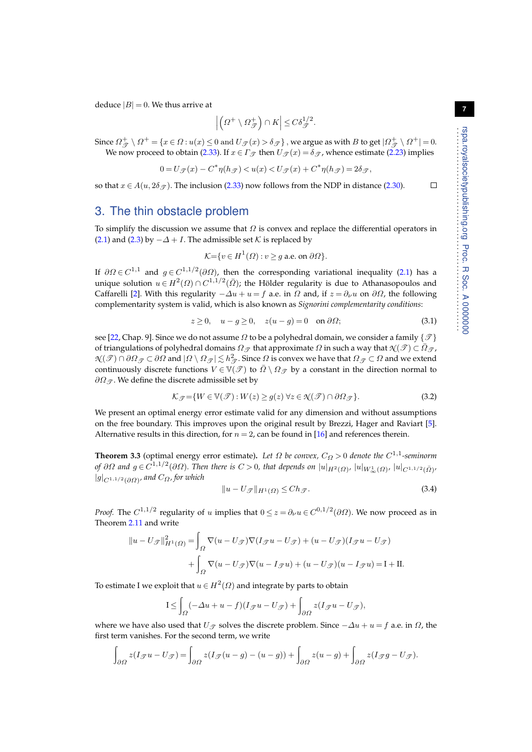deduce  $|B| = 0$ . We thus arrive at

$$
\left|\left(\varOmega^{+}\setminus\varOmega_{\mathscr{T}}^{+}\right)\cap K\right|\leq C\delta_{\mathscr{T}}^{1/2}.
$$

Since  $\Omega^+_{\mathscr{T}}\setminus \Omega^+=\{x\in\Omega: u(x)\leq 0 \text{ and } U_{\mathscr{T}}(x)>\delta_{\mathscr{T}}\}$ , we argue as with  $B$  to get  $|\Omega^+_{\mathscr{T}}\setminus \Omega^+|=0.$ We now proceed to obtain [\(2.33\)](#page-5-3). If  $x \in \Gamma$   $\sigma$  then  $U \circ \sigma(x) = \delta \circ \sigma$ , whence estimate [\(2.23\)](#page-4-0) implies

$$
0=U_{\mathscr{T}}(x)-C^*\eta(h_{\mathscr{T}})
$$

so that  $x \in A(u, 2\delta \varphi)$ . The inclusion [\(2.33\)](#page-5-3) now follows from the NDP in distance [\(2.30\)](#page-5-4).

## <span id="page-6-2"></span>3. The thin obstacle problem

To simplify the discussion we assume that  $\Omega$  is convex and replace the differential operators in [\(2.1\)](#page-1-0) and [\(2.3\)](#page-1-1) by  $-\Delta + I$ . The admissible set K is replaced by

$$
\mathcal{K} = \{ v \in H^1(\Omega) : v \ge g \text{ a.e. on } \partial \Omega \}.
$$

If  $\partial\Omega \in C^{1,1}$  and  $g \in C^{1,1/2}(\partial \Omega)$ , then the corresponding variational inequality [\(2.1\)](#page-1-0) has a unique solution  $u \in H^2(\varOmega) \cap C^{1,1/2}(\bar{\varOmega})$ ; the Hölder regularity is due to Athanasopoulos and Caffarelli [\[2\]](#page-12-3). With this regularity  $-\Delta u + u = f$  a.e. in  $\Omega$  and, if  $z = \partial_\nu u$  on  $\partial \Omega$ , the following complementarity system is valid, which is also known as *Signorini complementarity conditions*:

<span id="page-6-0"></span>
$$
z \ge 0, \quad u - g \ge 0, \quad z(u - g) = 0 \quad \text{on } \partial \Omega; \tag{3.1}
$$

see [\[22,](#page-13-2) Chap. 9]. Since we do not assume  $\Omega$  to be a polyhedral domain, we consider a family { $\mathcal{T}$ } of triangulations of polyhedral domains  $\Omega_{\mathcal{F}}$  that approximate  $\Omega$  in such a way that  $\mathcal{N}(\mathcal{F}) \subset \overline{\Omega}_{\mathcal{F}}$ ,  $\mathcal{N}(\mathscr{T})\cap\partial\Omega_\mathscr{T}\subset\partial\Omega$  and  $|\varOmega\setminus\varOmega_\mathscr{T}|\lesssim h_\mathscr{T}^2.$  Since  $\varOmega$  is convex we have that  $\varOmega_\mathscr{T}\subset\varOmega$  and we extend continuously discrete functions  $V \in V(\mathcal{T})$  to  $\overline{\Omega} \setminus \Omega_{\mathcal{T}}$  by a constant in the direction normal to  $\partial\Omega_{\mathcal{T}}$ . We define the discrete admissible set by

$$
\mathcal{K}_{\mathcal{F}} = \{ W \in \mathbb{V}(\mathcal{F}) : W(z) \ge g(z) \,\forall z \in \mathcal{N}(\mathcal{F}) \cap \partial \Omega_{\mathcal{F}} \}.
$$
\n(3.2)

We present an optimal energy error estimate valid for any dimension and without assumptions on the free boundary. This improves upon the original result by Brezzi, Hager and Raviart [\[5\]](#page-12-0). Alternative results in this direction, for  $n = 2$ , can be found in [\[16\]](#page-13-13) and references therein.

**Theorem 3.3** (optimal energy error estimate). Let  $\Omega$  be convex,  $C_{\Omega} > 0$  denote the  $C^{1,1}$ -seminorm *of*  $\partial\Omega$  and  $g \in C^{1,1/2}(\partial\Omega)$ . Then there is  $C > 0$ , that depends on  $|u|_{H^2(\Omega)}$ ,  $|u|_{W^1_\infty(\Omega)}$ ,  $|u|_{C^{1,1/2}(\bar \Omega)}$ , |g|C1,1/2(∂Ω) *, and* CΩ*, for which*

<span id="page-6-1"></span>
$$
||u - U_{\mathcal{F}}||_{H^1(\Omega)} \le Ch_{\mathcal{F}}.
$$
\n(3.4)

*Proof.* The  $C^{1,1/2}$  regularity of u implies that  $0 \le z = \partial_\nu u \in C^{0,1/2}(\partial \Omega)$ . We now proceed as in Theorem [2.11](#page-2-5) and write

$$
||u - U_{\mathscr{T}}||_{H^1(\Omega)}^2 = \int_{\Omega} \nabla (u - U_{\mathscr{T}}) \nabla (I_{\mathscr{T}}u - U_{\mathscr{T}}) + (u - U_{\mathscr{T}})(I_{\mathscr{T}}u - U_{\mathscr{T}})
$$

$$
+ \int_{\Omega} \nabla (u - U_{\mathscr{T}}) \nabla (u - I_{\mathscr{T}}u) + (u - U_{\mathscr{T}})(u - I_{\mathscr{T}}u) = I + II.
$$

To estimate I we exploit that  $u \in H^2(\Omega)$  and integrate by parts to obtain

$$
\mathbf{I} \le \int_{\Omega} (-\Delta u + u - f)(I_{\mathscr{T}}u - U_{\mathscr{T}}) + \int_{\partial\Omega} z(I_{\mathscr{T}}u - U_{\mathscr{T}}),
$$

where we have also used that  $U_{\mathscr{T}}$  solves the discrete problem. Since  $-\Delta u + u = f$  a.e. in  $\Omega$ , the first term vanishes. For the second term, we write

$$
\int_{\partial\Omega} z(I_{\mathscr{T}}u - U_{\mathscr{T}}) = \int_{\partial\Omega} z(I_{\mathscr{T}}(u - g) - (u - g)) + \int_{\partial\Omega} z(u - g) + \int_{\partial\Omega} z(I_{\mathscr{T}}g - U_{\mathscr{T}}).
$$

 $\Box$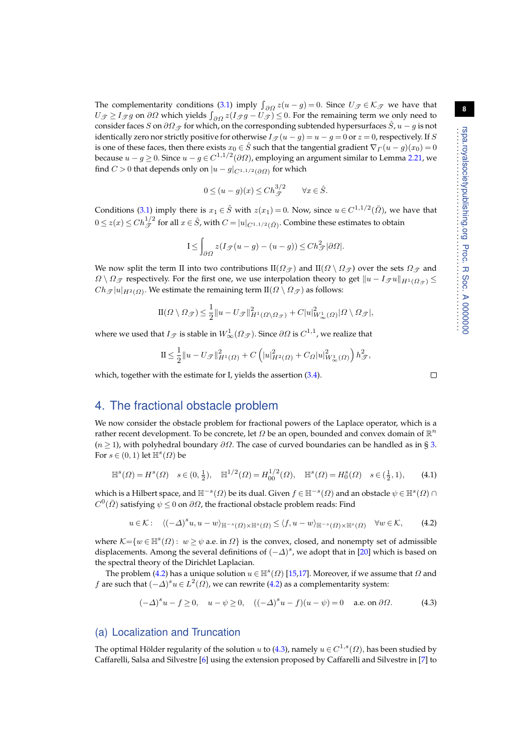. . . . . . . . . . . . . . . . . . . . . . . . . . . . . . . . . . . . . . . . . . . . . . . . . . . . . . . . . .

**8**

The complementarity conditions [\(3.1\)](#page-6-0) imply  $\int_{\partial\Omega} z(u-g)=0$ . Since  $U_{\mathcal{T}} \in \mathcal{K}_{\mathcal{T}}$  we have that  $U_{\mathscr{T}} \geq I_{\mathscr{T}}g$  on  $\partial\Omega$  which yields  $\int_{\partial\Omega} z(I_{\mathscr{T}}g - U_{\mathscr{T}}) \leq 0$ . For the remaining term we only need to consider faces S on  $\partial\Omega_{\mathscr{T}}$  for which, on the corresponding subtended hypersurfaces  $\hat{S}$ ,  $u - g$  is not identically zero nor strictly positive for otherwise  $I_{\mathscr{T}}(u - g) = u - g = 0$  or  $z = 0$ , respectively. If S is one of these faces, then there exists  $x_0 \in \hat{S}$  such that the tangential gradient  $\nabla \Gamma(u - g)(x_0) = 0$ because  $u-g$  ≥ 0. Since  $u-g\in C^{1,1/2}(\partial\varOmega)$ , employing an argument similar to Lemma [2.21,](#page-3-5) we find  $C > 0$  that depends only on  $|u - g|_{C^{1,1/2}(\partial \Omega)}$  for which

$$
0 \le (u - g)(x) \le C h_{\mathcal{T}}^{3/2} \qquad \forall x \in \hat{S}.
$$

Conditions [\(3.1\)](#page-6-0) imply there is  $x_1 \in \hat{S}$  with  $z(x_1) = 0$ . Now, since  $u \in C^{1,1/2}(\bar{\Omega})$ , we have that  $0\le z(x)\le Ch_{\mathscr{T}}^{1/2}$  for all  $x\in \hat{S}$ , with  $C=|u|_{C^{1,1/2}(\bar\varOmega)}.$  Combine these estimates to obtain

$$
I \le \int_{\partial\Omega} z(I_{\mathscr{T}}(u-g)-(u-g)) \le Ch_{\mathscr{T}}^2|\partial\Omega|.
$$

We now split the term II into two contributions II( $\Omega_{\mathcal{F}}$ ) and II( $\Omega \setminus \Omega_{\mathcal{F}}$ ) over the sets  $\Omega_{\mathcal{F}}$  and  $\Omega \setminus \Omega_{\mathcal{F}}$  respectively. For the first one, we use interpolation theory to get  $||u - I_{\mathcal{F}}u||_{H^1(\Omega_{\mathcal{F}})} \le$  $Ch_{\mathscr{T}}|u|_{H^2(\varOmega)}.$  We estimate the remaining term  $\text{II}(\varOmega \setminus \varOmega_{\mathscr{T}})$  as follows:

$$
\mathrm{II}(\Omega \setminus \Omega_{\mathscr{T}}) \leq \frac{1}{2} \|u - U_{\mathscr{T}}\|_{H^1(\Omega \setminus \Omega_{\mathscr{T}})}^2 + C|u|_{W^1_{\infty}(\Omega)}^2 |\Omega \setminus \Omega_{\mathscr{T}}|,
$$

where we used that  $I_{\mathscr{T}}$  is stable in  $W^1_{\infty}(\Omega_{\mathscr{T}})$ . Since  $\partial\Omega$  is  $C^{1,1}$ , we realize that

$$
\mathbf{II} \le \frac{1}{2} ||u - U_{\mathcal{F}}||_{H^1(\Omega)}^2 + C \left( |u|_{H^2(\Omega)}^2 + C_{\Omega} |u|_{W_{\infty}^1(\Omega)}^2 \right) h_{\mathcal{F}}^2,
$$

which, together with the estimate for I, yields the assertion  $(3.4)$ .

# 4. The fractional obstacle problem

We now consider the obstacle problem for fractional powers of the Laplace operator, which is a rather recent development. To be concrete, let  $\Omega$  be an open, bounded and convex domain of  $\mathbb{R}^n$  $(n \geq 1)$ , with polyhedral boundary  $\partial \Omega$ . The case of curved boundaries can be handled as in § [3.](#page-6-2) For  $s \in (0,1)$  let  $\mathbb{H}^s(\Omega)$  be

$$
\mathbb{H}^{s}(\Omega) = H^{s}(\Omega) \quad s \in (0, \frac{1}{2}), \quad \mathbb{H}^{1/2}(\Omega) = H_{00}^{1/2}(\Omega), \quad \mathbb{H}^{s}(\Omega) = H_{0}^{s}(\Omega) \quad s \in (\frac{1}{2}, 1), \tag{4.1}
$$

which is a Hilbert space, and  $\mathbb{H}^{-s}(\varOmega)$  be its dual. Given  $f\in\mathbb{H}^{-s}(\varOmega)$  and an obstacle  $\psi\in\mathbb{H}^{s}(\varOmega)\cap\mathbb{H}$  $C^0(\bar \varOmega)$  satisfying  $\psi \leq 0$  on  $\partial \varOmega$ , the fractional obstacle problem reads: Find

<span id="page-7-0"></span>
$$
u \in \mathcal{K}: \quad \langle (-\Delta)^s u, u - w \rangle_{\mathbb{H}^{-s}(\Omega) \times \mathbb{H}^s(\Omega)} \le \langle f, u - w \rangle_{\mathbb{H}^{-s}(\Omega) \times \mathbb{H}^s(\Omega)} \quad \forall w \in \mathcal{K}, \tag{4.2}
$$

where  $\mathcal{K} = \{w \in \mathbb{H}^s(\Omega) : w \ge \psi \text{ a.e. in } \Omega\}$  is the convex, closed, and nonempty set of admissible displacements. Among the several definitions of  $(-\Delta)^s$ , we adopt that in [\[20\]](#page-13-14) which is based on the spectral theory of the Dirichlet Laplacian.

The problem [\(4.2\)](#page-7-0) has a unique solution  $u \in \mathbb{H}^s(\Omega)$  [\[15](#page-13-0)[,17\]](#page-13-1). Moreover, if we assume that  $\Omega$  and f are such that  $(-\Delta)^s u \in L^2(\Omega)$ , we can rewrite [\(4.2\)](#page-7-0) as a complementarity system:

<span id="page-7-1"></span>
$$
(-\Delta)^s u - f \ge 0, \quad u - \psi \ge 0, \quad ((-\Delta)^s u - f)(u - \psi) = 0 \quad \text{a.e. on } \partial \Omega. \tag{4.3}
$$

## (a) Localization and Truncation

The optimal Hölder regularity of the solution  $u$  to [\(4.3\)](#page-7-1), namely  $u \in C^{1,s}(\Omega)$ , has been studied by Caffarelli, Salsa and Silvestre [\[6\]](#page-12-4) using the extension proposed by Caffarelli and Silvestre in [\[7\]](#page-12-5) to

 $\Box$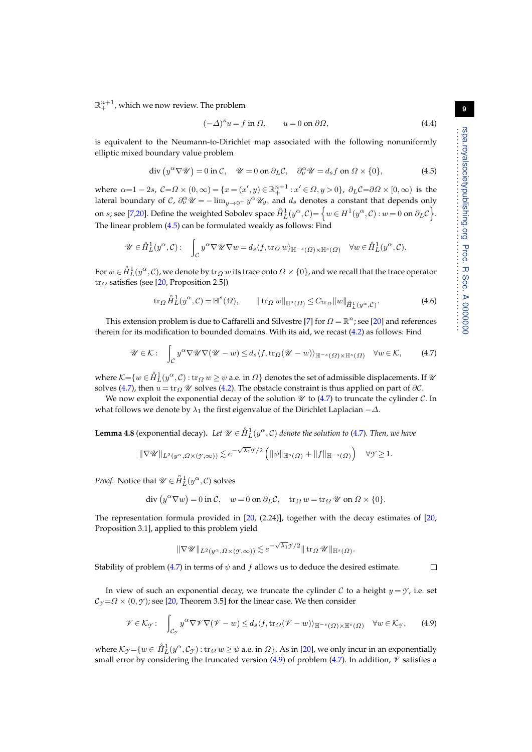$\mathbb{R}^{n+1}_+$ , which we now review. The problem

<span id="page-8-3"></span>
$$
(-\Delta)^s u = f \text{ in } \Omega, \qquad u = 0 \text{ on } \partial \Omega,
$$
\n(4.4)

is equivalent to the Neumann-to-Dirichlet map associated with the following nonuniformly elliptic mixed boundary value problem

<span id="page-8-0"></span>
$$
\operatorname{div}\left(y^{\alpha}\nabla\mathscr{U}\right) = 0 \text{ in } \mathcal{C}, \quad \mathscr{U} = 0 \text{ on } \partial_L \mathcal{C}, \quad \partial_{\nu}^{\alpha}\mathscr{U} = d_s f \text{ on } \Omega \times \{0\},\tag{4.5}
$$

where  $\alpha=1-2s$ ,  $C=\Omega\times(0,\infty)=\{x=(x',y)\in\mathbb{R}^{n+1}_+:x'\in\Omega,y>0\}$ ,  $\partial_LC=\partial\Omega\times[0,\infty)$  is the lateral boundary of C,  $\partial_\nu^{\alpha} \mathscr{U} = -\lim_{y\to 0^+} y^{\alpha} \mathscr{U}_y$ , and  $d_s$  denotes a constant that depends only on  $s$ ; see [\[7](#page-12-5)[,20\]](#page-13-14). Define the weighted Sobolev space  $\mathring{H}^1_L(y^\alpha, \mathcal{C}) {=}\left\{w \in H^1(y^\alpha, \mathcal{C})\colon w=0 \text{ on } \partial_L \mathcal{C}\right\}.$ The linear problem [\(4.5\)](#page-8-0) can be formulated weakly as follows: Find

$$
\mathscr{U} \in \overset{\circ}{H}_{L}^{1}(y^{\alpha}, \mathcal{C}): \quad \int_{\mathcal{C}} y^{\alpha} \nabla \mathscr{U} \nabla w = d_{s} \langle f, \text{tr}_{\Omega} w \rangle_{\mathbb{H}^{-s}(\Omega) \times \mathbb{H}^{s}(\Omega)} \quad \forall w \in \overset{\circ}{H}_{L}^{1}(y^{\alpha}, \mathcal{C}).
$$

For  $w\in \mathring{H}^1_L(y^\alpha, \mathcal C)$ , we denote by  ${\rm tr}_\varOmega\,w$  its trace onto  $\varOmega\times\{0\}$ , and we recall that the trace operator  $\text{tr}_{\Omega}$  satisfies (see [\[20,](#page-13-14) Proposition 2.5])

<span id="page-8-5"></span>
$$
\operatorname{tr}_{\Omega} \mathring{H}_L^1(y^{\alpha}, \mathcal{C}) = \mathbb{H}^s(\Omega), \qquad \|\operatorname{tr}_{\Omega} w\|_{\mathbb{H}^s(\Omega)} \le C_{\operatorname{tr}_{\Omega}} \|w\|_{\mathring{H}_L^1(y^{\alpha}, \mathcal{C})}. \tag{4.6}
$$

This extension problem is due to Caffarelli and Silvestre [\[7\]](#page-12-5) for  $\Omega = \mathbb{R}^n$ ; see [\[20\]](#page-13-14) and references therein for its modification to bounded domains. With its aid, we recast [\(4.2\)](#page-7-0) as follows: Find

<span id="page-8-1"></span>
$$
\mathscr{U} \in \mathcal{K}: \quad \int_{\mathcal{C}} y^{\alpha} \nabla \mathscr{U} \nabla (\mathscr{U} - w) \leq d_s \langle f, \text{tr}_{\Omega}(\mathscr{U} - w) \rangle_{\mathbb{H}^{-s}(\Omega) \times \mathbb{H}^s(\Omega)} \quad \forall w \in \mathcal{K}, \tag{4.7}
$$

where  $\mathcal{K} {=} \{w \in \mathring{H}_L^1(y^\alpha,\mathcal{C}) : \text{tr}_\varOmega \, w \geq \psi$  a.e. in  $\varOmega\}$  denotes the set of admissible displacements. If  $\mathscr{U}$ solves [\(4.7\)](#page-8-1), then  $u = \text{tr}_Q \mathscr{U}$  solves [\(4.2\)](#page-7-0). The obstacle constraint is thus applied on part of  $\partial \mathcal{C}$ .

We now exploit the exponential decay of the solution  $\mathcal U$  to [\(4.7\)](#page-8-1) to truncate the cylinder  $\mathcal C$ . In what follows we denote by  $\lambda_1$  the first eigenvalue of the Dirichlet Laplacian  $-\Delta$ .

<span id="page-8-4"></span>**Lemma 4.8** (exponential decay). Let  $\mathscr{U} \in \mathring{H}_L^1(y^\alpha, \mathcal{C})$  denote the solution to [\(4.7\)](#page-8-1). Then, we have

$$
\|\nabla \mathscr{U}\|_{L^2(y^\alpha,\Omega\times(\mathscr{Y},\infty))} \lesssim e^{-\sqrt{\lambda_1}\mathscr{Y}/2}\left(\|\psi\|_{\mathbb{H}^s(\Omega)} + \|f\|_{\mathbb{H}^{-s}(\Omega)}\right) \quad \forall \mathscr{Y} \ge 1.
$$

*Proof.* Notice that  $\mathscr{U} \in \mathring{H}^1_L(y^\alpha, \mathcal{C})$  solves

$$
\operatorname{div}\left(y^{\alpha}\nabla w\right) = 0 \text{ in } \mathcal{C}, \quad w = 0 \text{ on } \partial_L \mathcal{C}, \quad \operatorname{tr}_\Omega w = \operatorname{tr}_\Omega \mathcal{U} \text{ on } \Omega \times \{0\}.
$$

The representation formula provided in [\[20,](#page-13-14) (2.24)], together with the decay estimates of [\[20,](#page-13-14) Proposition 3.1], applied to this problem yield

$$
\|\nabla \mathscr{U}\|_{L^2(y^\alpha,\varOmega\times(\mathscr{Y},\infty))}\lesssim e^{-\sqrt{\lambda_1}\mathscr{Y}/2}\|\mathop{\rm tr}\nolimits_{\varOmega}\mathscr{U}\|_{\mathbb{H}^s(\varOmega)}
$$

Stability of problem [\(4.7\)](#page-8-1) in terms of  $\psi$  and  $f$  allows us to deduce the desired estimate.  $\Box$ 

In view of such an exponential decay, we truncate the cylinder  $C$  to a height  $y = \gamma$ , i.e. set  $C_{\mathcal{I}} = \Omega \times (0, \mathcal{I})$ ; see [\[20,](#page-13-14) Theorem 3.5] for the linear case. We then consider

<span id="page-8-2"></span>
$$
\mathscr{V}\in\mathcal{K}_{\mathcal{Y}}:\quad\int_{\mathcal{C}_{\mathcal{Y}}}y^{\alpha}\nabla\mathscr{V}\nabla(\mathscr{V}-w)\leq d_{s}\langle f,\text{tr}_{\Omega}(\mathscr{V}-w)\rangle_{\mathbb{H}^{-s}(\Omega)\times\mathbb{H}^{s}(\Omega)}\quad\forall w\in\mathcal{K}_{\mathcal{Y}},\qquad(4.9)
$$

.

where  $\mathcal{K}_{\mathcal{I}}{=}\{w\in \mathring{H}^1_L(y^\alpha,\mathcal{C}_\mathcal{I})\,{:}\,\text{tr}_\varOmega\,w\,{\geq}\,\psi$  a.e. in  $\varOmega\}.$  As in [\[20\]](#page-13-14), we only incur in an exponentially small error by considering the truncated version [\(4.9\)](#page-8-2) of problem [\(4.7\)](#page-8-1). In addition,  $\check{\mathcal{V}}$  satisfies a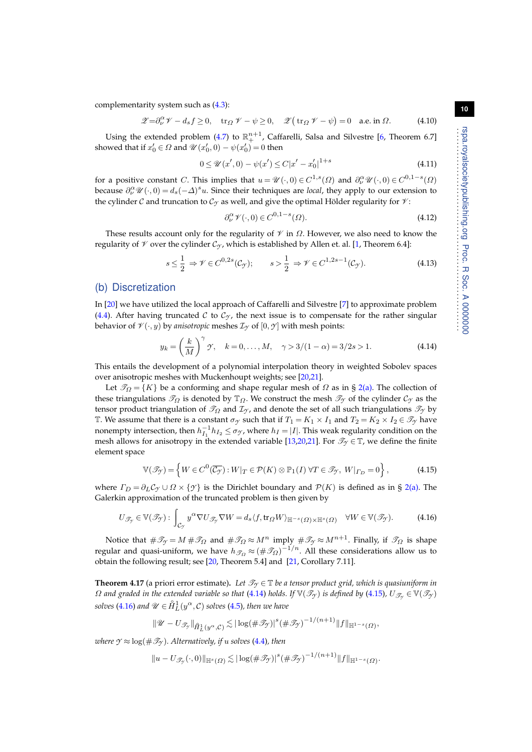complementarity system such as [\(4.3\)](#page-7-1):

<span id="page-9-6"></span>
$$
\mathscr{Z} = \partial_{\nu}^{\alpha} \mathscr{V} - d_{s} f \ge 0, \quad \text{tr}_{\Omega} \mathscr{V} - \psi \ge 0, \quad \mathscr{Z}(\text{tr}_{\Omega} \mathscr{V} - \psi) = 0 \quad \text{a.e. in } \Omega. \tag{4.10}
$$

Using the extended problem [\(4.7\)](#page-8-1) to  $\mathbb{R}^{n+1}_+$ , Caffarelli, Salsa and Silvestre [\[6,](#page-12-4) Theorem 6.7] showed that if  $x'_0 \in \Omega$  and  $\mathscr{U}(x'_0, 0) - \psi(x'_0) = 0$  then

<span id="page-9-7"></span>
$$
0 \le \mathcal{U}(x',0) - \psi(x') \le C|x'-x'_0|^{1+s} \tag{4.11}
$$

for a positive constant C. This implies that  $u = \mathscr{U}(\cdot,0) \in C^{1,s}(\Omega)$  and  $\partial_{\nu}^{\alpha} \mathscr{U}(\cdot,0) \in C^{0,1-s}(\Omega)$ because  $\partial_{\nu}^{\alpha} \mathcal{U}(\cdot,0) = d_s(-\Delta)^s u$ . Since their techniques are *local*, they apply to our extension to the cylinder C and truncation to  $\mathcal{C}_{\gamma}$  as well, and give the optimal Hölder regularity for  $\mathcal{V}$ :

<span id="page-9-4"></span>
$$
\partial_{\nu}^{\alpha} \mathcal{V}(\cdot,0) \in C^{0,1-s}(\Omega). \tag{4.12}
$$

These results account only for the regularity of  $\mathcal V$  in  $\Omega$ . However, we also need to know the regularity of  $\mathcal V$  over the cylinder  $\mathcal C_{\mathcal Y}$ , which is established by Allen et. al. [\[1,](#page-12-6) Theorem 6.4]:

<span id="page-9-5"></span>
$$
s \leq \frac{1}{2} \Rightarrow \mathcal{V} \in C^{0,2s}(\mathcal{C}_{\mathcal{Y}}); \qquad s > \frac{1}{2} \Rightarrow \mathcal{V} \in C^{1,2s-1}(\mathcal{C}_{\mathcal{Y}}). \tag{4.13}
$$

#### (b) Discretization

In [\[20\]](#page-13-14) we have utilized the local approach of Caffarelli and Silvestre [\[7\]](#page-12-5) to approximate problem [\(4.4\)](#page-8-3). After having truncated C to  $C_y$ , the next issue is to compensate for the rather singular behavior of  $\mathcal{V}(\cdot, y)$  by *anisotropic* meshes  $\mathcal{I}_{\mathcal{Y}}$  of  $[0, \mathcal{Y}]$  with mesh points:

<span id="page-9-0"></span>
$$
y_k = \left(\frac{k}{M}\right)^{\gamma} \gamma, \quad k = 0, \dots, M, \quad \gamma > 3/(1 - \alpha) = 3/2s > 1.
$$
 (4.14)

This entails the development of a polynomial interpolation theory in weighted Sobolev spaces over anisotropic meshes with Muckenhoupt weights; see [\[20,](#page-13-14)[21\]](#page-13-15).

Let  $\mathcal{T}_Q = \{K\}$  be a conforming and shape regular mesh of  $\Omega$  as in § [2](#page-0-0)[\(a\).](#page-1-2) The collection of these triangulations  $\mathcal{T}_{\Omega}$  is denoted by  $\mathbb{T}_{\Omega}$ . We construct the mesh  $\mathcal{T}_{\gamma}$  of the cylinder  $\mathcal{C}_{\gamma}$  as the tensor product triangulation of  $\mathcal{T}_{\Omega}$  and  $\mathcal{I}_{\gamma}$ , and denote the set of all such triangulations  $\mathcal{T}_{\gamma}$  by T. We assume that there is a constant  $\sigma_Y$  such that if  $T_1 = K_1 \times I_1$  and  $T_2 = K_2 \times I_2 \in \mathcal{T}_Y$  have nonempty intersection, then  $h_{I_1}^{-1}h_{I_2} \leq \sigma_{\mathcal{Y}}$ , where  $h_I = |I|$ . This weak regularity condition on the mesh allows for anisotropy in the extended variable [\[13](#page-13-16)[,20](#page-13-14)[,21\]](#page-13-15). For  $\mathcal{T}_{\gamma} \in \mathbb{T}$ , we define the finite element space

<span id="page-9-1"></span>
$$
\mathbb{V}(\mathcal{I}_{\mathcal{Y}}) = \left\{ W \in C^{0}(\overline{\mathcal{C}_{\mathcal{Y}}}) : W|_{T} \in \mathcal{P}(K) \otimes \mathbb{P}_{1}(I) \,\forall T \in \mathcal{I}_{\mathcal{Y}}, \, W|_{\Gamma_{D}} = 0 \right\},\tag{4.15}
$$

where  $\Gamma_D = \partial_L C_\gamma \cup \Omega \times \{\gamma\}$  is the Dirichlet boundary and  $\mathcal{P}(K)$  is defined as in § [2](#page-0-0)[\(a\).](#page-1-2) The Galerkin approximation of the truncated problem is then given by

<span id="page-9-2"></span>
$$
U_{\mathscr{T}_{\mathcal{Y}}} \in \mathbb{V}(\mathscr{T}_{\mathcal{Y}}): \int_{\mathcal{C}_{\mathcal{Y}}} y^{\alpha} \nabla U_{\mathscr{T}_{\mathcal{Y}}} \nabla W = d_{s} \langle f, \text{tr}_{\Omega} W \rangle_{\mathbb{H}^{-s}(\Omega) \times \mathbb{H}^{s}(\Omega)} \quad \forall W \in \mathbb{V}(\mathscr{T}_{\mathcal{Y}}). \tag{4.16}
$$

Notice that  $\#\mathscr{T}_{\mathcal{I}}=M\#\mathscr{T}_{\Omega}$  and  $\#\mathscr{T}_{\Omega}\approx M^{n}$  imply  $\#\mathscr{T}_{\mathcal{I}}\approx M^{n+1}.$  Finally, if  $\mathscr{T}_{\Omega}$  is shape regular and quasi-uniform, we have  $h_{\mathscr{T}_\Omega}\approx (\#\mathscr{T}_\Omega)^{-1/n}$ . All these considerations allow us to obtain the following result; see [\[20,](#page-13-14) Theorem 5.4] and [\[21,](#page-13-15) Corollary 7.11].

<span id="page-9-3"></span>**Theorem 4.17** (a priori error estimate). Let  $\mathcal{T}_{\gamma} \in \mathbb{T}$  be a tensor product grid, which is quasiuniform in  $\Omega$  and graded in the extended variable so that [\(4.14\)](#page-9-0) holds. If  $\mathbb{V}(\mathcal{I}_{\gamma})$  is defined by [\(4.15\)](#page-9-1),  $U_{\mathcal{I}_{\gamma}} \in \mathbb{V}(\mathcal{I}_{\gamma})$  $s$ olves [\(4.16\)](#page-9-2) and  $\mathscr{U} \in \overset{\circ}{H}{}^{1}_{L}(y^{\alpha},\mathcal{C})$  solves [\(4.5\)](#page-8-0)*, then we have* 

$$
\|\mathscr{U}-U_{\mathscr{T}_{\mathcal{I}}}\|_{\hat{H}^1_L(y^\alpha,\mathcal{C})} \lesssim |\log(\#\mathscr{T}_{\mathcal{I}})|^s (\#\mathscr{T}_{\mathcal{I}})^{-1/(n+1)} \|f\|_{\mathbb{H}^{1-s}(\Omega)},
$$

*where*  $\gamma \approx \log(\#\mathscr{T}_\gamma)$ *. Alternatively, if u solves* [\(4.4\)](#page-8-3)*, then* 

$$
||u - U_{\mathscr{T}_{\mathcal{I}}}(\cdot,0)||_{\mathbb{H}^{s}(\Omega)} \lesssim |\log(\#\mathscr{T}_{\mathcal{I}})|^{s}(\#\mathscr{T}_{\mathcal{I}})^{-1/(n+1)}||f||_{\mathbb{H}^{1-s}(\Omega)}.
$$

. . . . . . . . . . . . . . . . . . . . . . . . . . . . . . . . . . . . . . . . . . . . . . . . . . . . . . . . . . rspa.royalsocietypublishing.org Proc. R Soc. A 0000000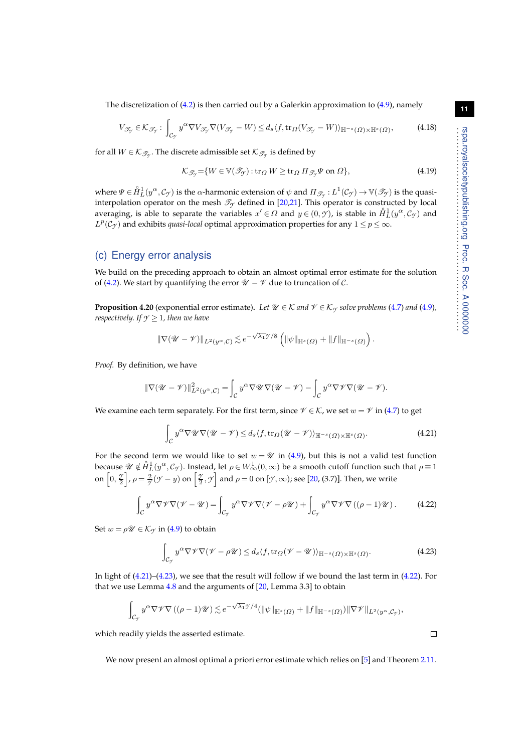The discretization of  $(4.2)$  is then carried out by a Galerkin approximation to  $(4.9)$ , namely

<span id="page-10-3"></span>
$$
V_{\mathscr{T}_{\mathcal{T}}} \in \mathcal{K}_{\mathscr{T}_{\mathcal{T}}} : \int_{\mathcal{C}_{\mathcal{T}}} y^{\alpha} \nabla V_{\mathscr{T}_{\mathcal{T}}} \nabla (V_{\mathscr{T}_{\mathcal{T}}} - W) \leq d_s \langle f, \text{tr}_{\Omega}(V_{\mathscr{T}_{\mathcal{T}}} - W) \rangle_{\mathbb{H}^{-s}(\Omega) \times \mathbb{H}^{s}(\Omega)}, \tag{4.18}
$$

for all  $W\in\mathcal{K}_{\mathscr{T}_{\mathcal{Y}}}$ . The discrete admissible set  $\mathcal{K}_{\mathscr{T}_{\mathcal{Y}}}$  is defined by

$$
\mathcal{K}_{\mathcal{J}_{\mathcal{Y}}} = \{ W \in \mathbb{V}(\mathcal{I}_{\mathcal{Y}}) : \text{tr}_{\Omega} W \ge \text{tr}_{\Omega} \Pi_{\mathcal{I}_{\mathcal{Y}}} \Psi \text{ on } \Omega \},\tag{4.19}
$$

where  $\Psi\in \mathring{H}^1_L(y^\alpha,{\mathcal C}_{{\mathcal T}})$  is the  $\alpha$ -harmonic extension of  $\psi$  and  $\Pi_{{\mathscr T}_{{\mathcal T}}}:L^1({\mathcal C}_{{\mathcal T}})\to \mathbb{V}({\mathscr T}_{{\mathcal T}})$  is the quasiinterpolation operator on the mesh  $\mathcal{T}_{\gamma}$  defined in [\[20](#page-13-14)[,21\]](#page-13-15). This operator is constructed by local averaging, is able to separate the variables  $x' \in \Omega$  and  $y \in (0, \gamma)$ , is stable in  $\mathring{H}_L^1(y^\alpha, \mathcal{C}_{\gamma})$  and  $L^p(\mathcal{C}_{\gamma})$  and exhibits *quasi-local* optimal approximation properties for any  $1 \leq p \leq \infty$ .

## (c) Energy error analysis

We build on the preceding approach to obtain an almost optimal error estimate for the solution of [\(4.2\)](#page-7-0). We start by quantifying the error  $\mathcal{U} - \mathcal{V}$  due to truncation of C.

<span id="page-10-4"></span>**Proposition 4.20** (exponential error estimate). Let  $\mathcal{U} \in \mathcal{K}$  and  $\mathcal{V} \in \mathcal{K}_{\gamma}$  solve problems [\(4.7\)](#page-8-1) and [\(4.9\)](#page-8-2), *respectively. If*  $\gamma \geq 1$ *, then we have* 

$$
\|\nabla(\mathscr{U}-\mathscr{V})\|_{L^2(y^\alpha,\mathcal{C})} \lesssim e^{-\sqrt{\lambda_1}\mathscr{Y}/8} \left( \|\psi\|_{\mathbb{H}^s(\Omega)} + \|f\|_{\mathbb{H}^{-s}(\Omega)} \right).
$$

*Proof.* By definition, we have

$$
\|\nabla (\mathscr{U}-\mathscr{V})\|^2_{L^2(y^\alpha,\mathcal{C})}=\int_{\mathcal{C}}y^\alpha \nabla \mathscr{U}\nabla (\mathscr{U}-\mathscr{V})-\int_{\mathcal{C}}y^\alpha \nabla \mathscr{V}\nabla (\mathscr{U}-\mathscr{V}).
$$

We examine each term separately. For the first term, since  $\mathcal{V} \in \mathcal{K}$ , we set  $w = \mathcal{V}$  in [\(4.7\)](#page-8-1) to get

<span id="page-10-0"></span>
$$
\int_{\mathcal{C}} y^{\alpha} \nabla \mathscr{U} \nabla (\mathscr{U} - \mathscr{V}) \le d_s \langle f, \text{tr}_{\Omega} (\mathscr{U} - \mathscr{V}) \rangle_{\mathbb{H}^{-s}(\Omega) \times \mathbb{H}^{s}(\Omega)}.
$$
\n(4.21)

For the second term we would like to set  $w = \mathcal{U}$  in [\(4.9\)](#page-8-2), but this is not a valid test function because  $\mathscr{U}\notin \mathring{H}^1_L(y^\alpha,\mathcal{C}_\mathcal{Y})$ . Instead, let  $\rho\in W^1_\infty(0,\infty)$  be a smooth cutoff function such that  $\rho\equiv 1$ on  $\left[0, \frac{\gamma}{2}\right]$ ,  $\rho = \frac{2}{\gamma}(\gamma - y)$  on  $\left[\frac{\gamma}{2}, \gamma\right]$  and  $\rho = 0$  on  $[\gamma, \infty)$ ; see [\[20,](#page-13-14) (3.7)]. Then, we write

<span id="page-10-2"></span>
$$
\int_{C} y^{\alpha} \nabla \mathcal{V} \nabla (\mathcal{V} - \mathcal{U}) = \int_{C_{\mathcal{Y}}} y^{\alpha} \nabla \mathcal{V} \nabla (\mathcal{V} - \rho \mathcal{U}) + \int_{C_{\mathcal{Y}}} y^{\alpha} \nabla \mathcal{V} \nabla ((\rho - 1) \mathcal{U}).
$$
 (4.22)

Set  $w = \rho \mathscr{U} \in \mathcal{K}_{\mathcal{T}}$  in [\(4.9\)](#page-8-2) to obtain

<span id="page-10-1"></span>
$$
\int_{\mathcal{C}_{\mathcal{I}}} y^{\alpha} \nabla \mathcal{V} \nabla (\mathcal{V} - \rho \mathcal{U}) \leq d_s \langle f, \text{tr}_{\Omega} (\mathcal{V} - \mathcal{U}) \rangle_{\mathbb{H}^{-s}(\Omega) \times \mathbb{H}^s(\Omega)}.
$$
\n(4.23)

In light of [\(4.21\)](#page-10-0)–[\(4.23\)](#page-10-1), we see that the result will follow if we bound the last term in [\(4.22\)](#page-10-2). For that we use Lemma [4.8](#page-8-4) and the arguments of [\[20,](#page-13-14) Lemma 3.3] to obtain

$$
\int_{\mathcal{C}_{\mathcal{I}}} y^{\alpha} \nabla \mathscr{V} \nabla \left( (\rho - 1) \mathscr{U} \right) \lesssim e^{-\sqrt{\lambda_1} \mathscr{I}/4} (\|\psi\|_{\mathbb{H}^s(\Omega)} + \|f\|_{\mathbb{H}^{-s}(\Omega)}) \|\nabla \mathscr{V}\|_{L^2(y^{\alpha}, \mathcal{C}_{\mathcal{I}})},
$$

which readily yields the asserted estimate.

We now present an almost optimal a priori error estimate which relies on [\[5\]](#page-12-0) and Theorem [2.11.](#page-2-5)

**11**

 $\Box$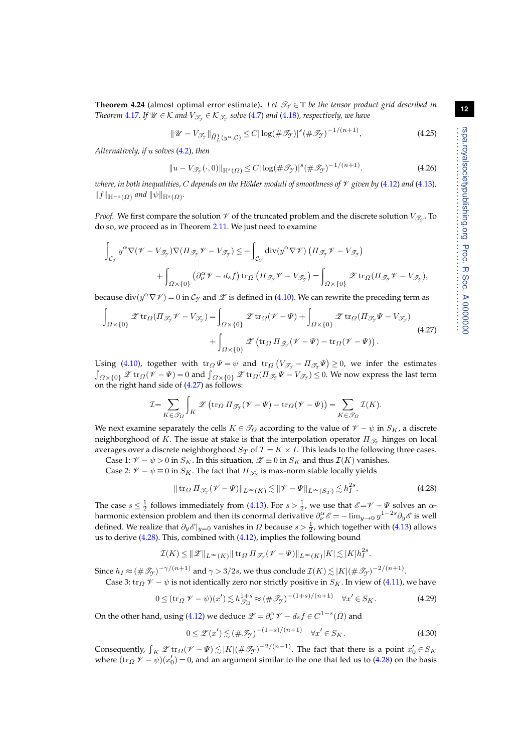**Theorem 4.24** (almost optimal error estimate). Let  $\mathcal{T}_Y \in \mathbb{T}$  be the tensor product grid described in *Theorem*  $4.17$ *. If*  $\mathscr{U} \in \mathcal{K}$  *and*  $V_{\mathscr{T}_{\mathscr{Y}}} \in \mathcal{K}_{\mathscr{T}_{\mathscr{Y}}}$  *solve (* $4.7$ *) and (* $4.18$ *), respectively, we have* 

<span id="page-11-4"></span>
$$
\|\mathscr{U} - V_{\mathscr{T}_{\mathscr{I}}}\|_{\hat{H}^1_L(y^\alpha, \mathcal{C})} \le C |\log(\#\mathscr{T}_{\mathscr{I}})|^s (\#\mathscr{T}_{\mathscr{I}})^{-1/(n+1)},\tag{4.25}
$$

*Alternatively, if* u *solves* [\(4.2\)](#page-7-0)*, then*

<span id="page-11-5"></span>
$$
||u - V_{\mathcal{T}_{\mathcal{I}}}(\cdot, 0)||_{\mathbb{H}^{s}(\Omega)} \le C |\log(\#\mathcal{T}_{\mathcal{I}})|^{s} (\#\mathcal{T}_{\mathcal{I}})^{-1/(n+1)}.
$$
\n(4.26)

*where, in both inequalities, C depends on the Hölder moduli of smoothness of*  $\mathcal V$  *given by* [\(4.12\)](#page-9-4) *and* [\(4.13\)](#page-9-5)*,*  $||f||_{\mathbb{H}^{-s}(\Omega)}$  and  $||\psi||_{\mathbb{H}^{s}(\Omega)}$ .

*Proof.* We first compare the solution  $\mathscr V$  of the truncated problem and the discrete solution  $V_{\mathscr T_\mathscr{Y}}$ . To do so, we proceed as in Theorem [2.11.](#page-2-5) We just need to examine

$$
\int_{\mathcal{C}_{\mathcal{I}}} y^{\alpha} \nabla (\mathscr{V} - V_{\mathscr{T}_{\mathcal{I}}}) \nabla (\Pi_{\mathscr{T}_{\mathcal{I}}} \mathscr{V} - V_{\mathscr{T}_{\mathcal{I}}}) \leq - \int_{\mathcal{C}_{\mathcal{I}}} \operatorname{div} (y^{\alpha} \nabla \mathscr{V}) (\Pi_{\mathscr{T}_{\mathcal{I}}} \mathscr{V} - V_{\mathscr{T}_{\mathcal{I}}}) \n+ \int_{\Omega \times \{0\}} \left( \partial_{\nu}^{\alpha} \mathscr{V} - d_{s} f \right) \operatorname{tr}_{\Omega} (\Pi_{\mathscr{T}_{\mathcal{I}}} \mathscr{V} - V_{\mathscr{T}_{\mathcal{I}}}) = \int_{\Omega \times \{0\}} \mathscr{Z} \operatorname{tr}_{\Omega} (\Pi_{\mathscr{T}_{\mathcal{I}}} \mathscr{V} - V_{\mathscr{T}_{\mathcal{I}}}),
$$

because  $\mathrm{div}(y^\alpha \nabla \mathscr{V})=0$  in  $\mathcal{C}_{\mathscr{Y}}$  and  $\mathscr{Z}$  is defined in [\(4.10\)](#page-9-6). We can rewrite the preceding term as

<span id="page-11-0"></span>
$$
\int_{\Omega \times \{0\}} \mathcal{Z} \operatorname{tr}_{\Omega} (\Pi_{\mathcal{I}_{\mathcal{I}}} \mathcal{V} - V_{\mathcal{I}_{\mathcal{I}}}) = \int_{\Omega \times \{0\}} \mathcal{Z} \operatorname{tr}_{\Omega} (\mathcal{V} - \Psi) + \int_{\Omega \times \{0\}} \mathcal{Z} \operatorname{tr}_{\Omega} (\Pi_{\mathcal{I}_{\mathcal{I}}} \Psi - V_{\mathcal{I}_{\mathcal{I}}})
$$
\n
$$
+ \int_{\Omega \times \{0\}} \mathcal{Z} \left( \operatorname{tr}_{\Omega} \Pi_{\mathcal{I}_{\mathcal{I}}} (\mathcal{V} - \Psi) - \operatorname{tr}_{\Omega} (\mathcal{V} - \Psi) \right). \tag{4.27}
$$

Using [\(4.10\)](#page-9-6), together with  $\text{tr}_\Omega \Psi = \psi$  and  $\text{tr}_\Omega (V_{\mathscr{T}_{\mathscr{T}}} - \Pi_{\mathscr{T}_{\mathscr{T}}} \Psi) \geq 0$ , we infer the estimates  $\int_{\Omega\times\{0\}}\mathscr{Z}\operatorname{tr}_{\Omega}(\mathscr{V}-\Psi)=0$  and  $\int_{\Omega\times\{0\}}\mathscr{Z}\operatorname{tr}_{\Omega}( \Pi_{\mathscr{T}_{\mathscr{V}}}\Psi-V_{\mathscr{T}_{\mathscr{V}}})\leq 0.$  We now express the last term on the right hand side of  $(4.27)$  as follows:

$$
\mathcal{I} = \sum_{K \in \mathcal{F}_{\Omega}} \int_{K} \mathscr{Z} \left( \operatorname{tr}_{\Omega} \Pi_{\mathcal{F}_{\mathcal{Y}}} (\mathscr{V} - \Psi) - \operatorname{tr}_{\Omega} (\mathscr{V} - \Psi) \right) = \sum_{K \in \mathcal{F}_{\Omega}} \mathcal{I}(K).
$$

We next examine separately the cells  $K \in \mathcal{T}_{\Omega}$  according to the value of  $\mathcal{V} - \psi$  in  $S_K$ , a discrete neighborghood of K. The issue at stake is that the interpolation operator  $\Pi_{\mathscr{T}_{\mathscr{T}}}$  hinges on local averages over a discrete neighborghood  $S_T$  of  $T = K \times I$ . This leads to the following three cases.

Case 1:  $\mathcal{V} - \psi > 0$  in  $S_K$ . In this situation,  $\mathcal{Z} \equiv 0$  in  $S_K$  and thus  $\mathcal{I}(K)$  vanishes.

Case 2:  $\mathscr{V}-\psi\equiv0$  in  $S_K.$  The fact that  $\Pi_{\mathscr{T}_{\mathscr{Y}}}$  is max-norm stable locally yields

<span id="page-11-1"></span>
$$
\|\operatorname{tr}_{\Omega} \Pi_{\mathcal{I}_{\mathcal{I}}}(\mathcal{V} - \Psi)\|_{L^{\infty}(K)} \lesssim \|\mathcal{V} - \Psi\|_{L^{\infty}(S_T)} \lesssim h_I^{2s}.
$$
\n(4.28)

The case  $s \leq \frac{1}{2}$  follows immediately from [\(4.13\)](#page-9-5). For  $s > \frac{1}{2}$ , we use that  $\mathscr{E} = \mathscr{V} - \Psi$  solves an  $\alpha$ harmonic extension problem and then its conormal derivative  $\partial_\nu^\alpha \mathscr{E} = -\lim_{y\to 0} y^{1-2s} \partial_y \mathscr{E}$  is well defined. We realize that  $\partial_y \mathscr{E}|_{y=0}$  vanishes in  $\Omega$  because  $s > \frac{1}{2}$ , which together with [\(4.13\)](#page-9-5) allows us to derive [\(4.28\)](#page-11-1). This, combined with [\(4.12\)](#page-9-4), implies the following bound

$$
\mathcal{I}(K) \le ||\mathscr{Z}||_{L^{\infty}(K)} || \operatorname{tr}_{\Omega} \Pi_{\mathscr{T}_{\mathcal{I}}}(\mathscr{V} - \Psi)||_{L^{\infty}(K)} |K| \lesssim |K| h_I^{2s}.
$$

Since  $h_I\approx(\#\mathscr{T}_{\mathscr{T}})^{-\gamma/(n+1)}$  and  $\gamma>3/2s$ , we thus conclude  $\mathcal{I}(K)\lesssim |K|(\#\mathscr{T}_{\mathscr{T}})^{-2/(n+1)}.$ 

Case 3:  $\operatorname{tr}_\Omega \mathcal{V} - \psi$  is not identically zero nor strictly positive in  $S_K$ . In view of [\(4.11\)](#page-9-7), we have

<span id="page-11-2"></span>
$$
0 \leq (\operatorname{tr}_{\Omega} \mathscr{V} - \psi)(x') \lesssim h_{\mathscr{T}_{\Omega}}^{1+s} \approx (\#\mathscr{T}_{\mathscr{T}})^{-(1+s)/(n+1)} \quad \forall x' \in S_K. \tag{4.29}
$$

On the other hand, using [\(4.12\)](#page-9-4) we deduce  $\mathscr{Z}=\partial_{\nu}^{\alpha}\mathscr{V}-d_{s}f\in C^{1-s}(\bar{\varOmega})$  and

<span id="page-11-3"></span>
$$
0 \le \mathcal{Z}(x') \lesssim (\#\mathcal{I}_\mathcal{Y})^{-(1-s)/(n+1)} \quad \forall x' \in S_K. \tag{4.30}
$$

Consequently,  $\int_K \mathscr{Z} \text{tr}_\Omega(\mathscr{V} - \Psi) \lesssim |K| (\# \mathscr{T}_{\mathscr{Y}})^{-2/(n+1)}$ . The fact that there is a point  $x'_0 \in S_K$ where  $(\text{tr}_\Omega \mathcal{V} - \psi)(x'_0) = 0$ , and an argument similar to the one that led us to [\(4.28\)](#page-11-1) on the basis . . . . . . . . . . . . . . . . . . . . . . . . . . . . . . . . . . . . . . . . . . . . . . . . . . . . . . . . . . rspa.royalsocietypublishing.org Proc. R Soc. A 0000000

rspa.royalsocietypublishing.org Proc. R Soc. A 0000000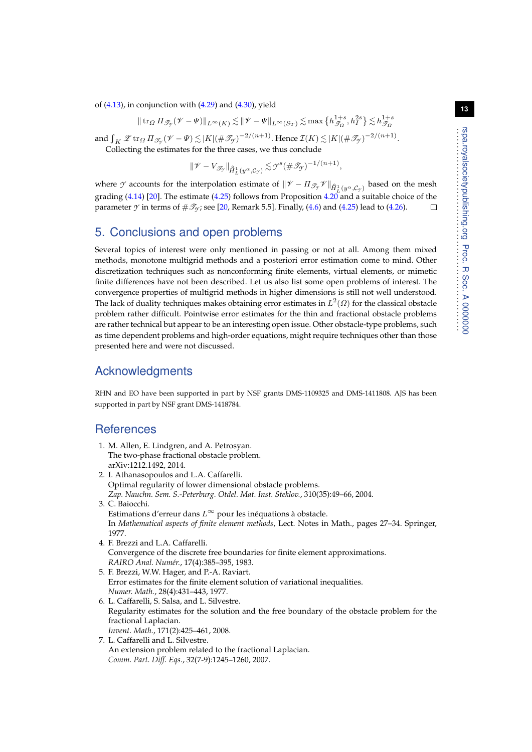of  $(4.13)$ , in conjunction with  $(4.29)$  and  $(4.30)$ , yield

$$
\|\operatorname{tr}_\varOmega \varPi_{\mathscr{T}_{\mathcal{T}}}(\mathscr{V} - \varPsi)\|_{L^\infty(K)} \lesssim \|\mathscr{V} - \varPsi\|_{L^\infty(S_T)} \lesssim \max\big\{h_{\mathscr{T}_\varOmega}^{1+s}, h_I^{2s}\big\} \lesssim h_{\mathscr{T}_\varOmega}^{1+s}
$$

and  $\int_K \mathscr{Z}$  tr $_{\varOmega} \Pi_{\mathscr{T}_{\mathscr{Y}}}(\mathscr{V}-\Psi) \lesssim |K| (\#\mathscr{T}_{\mathscr{Y}})^{-2/(n+1)}$ . Hence  $\mathcal{I}(K) \lesssim |K| (\#\mathscr{T}_{\mathscr{Y}})^{-2/(n+1)}$ .

Collecting the estimates for the three cases, we thus conclude

$$
\|\mathscr{V} - V_{\mathscr{T}_{\mathscr{I}}}\|_{\hat{H}^1_L(y^{\alpha}, \mathcal{C}_{\mathscr{I}})} \lesssim \mathscr{I}^s(\#\mathscr{T}_{\mathscr{I}})^{-1/(n+1)},
$$

where *Y* accounts for the interpolation estimate of  $\|\mathcal{V} - \Pi_{\mathcal{I}_{\mathcal{Y}}} \mathcal{V}\|_{\hat{H}^1_L(y^\alpha, \mathcal{C}_{\mathcal{Y}})}$  based on the mesh grading [\(4.14\)](#page-9-0) [\[20\]](#page-13-14). The estimate [\(4.25\)](#page-11-4) follows from Proposition [4.20](#page-10-4) and a suitable choice of the parameter  $\gamma$  in terms of  $\#\mathcal{I}_\gamma$ ; see [\[20,](#page-13-14) Remark 5.5]. Finally, [\(4.6\)](#page-8-5) and [\(4.25\)](#page-11-4) lead to [\(4.26\)](#page-11-5).  $\Box$ 

# 5. Conclusions and open problems

Several topics of interest were only mentioned in passing or not at all. Among them mixed methods, monotone multigrid methods and a posteriori error estimation come to mind. Other discretization techniques such as nonconforming finite elements, virtual elements, or mimetic finite differences have not been described. Let us also list some open problems of interest. The convergence properties of multigrid methods in higher dimensions is still not well understood. The lack of duality techniques makes obtaining error estimates in  $L^2(\varOmega)$  for the classical obstacle problem rather difficult. Pointwise error estimates for the thin and fractional obstacle problems are rather technical but appear to be an interesting open issue. Other obstacle-type problems, such as time dependent problems and high-order equations, might require techniques other than those presented here and were not discussed.

# Acknowledgments

RHN and EO have been supported in part by NSF grants DMS-1109325 and DMS-1411808. AJS has been supported in part by NSF grant DMS-1418784.

# **References**

- <span id="page-12-6"></span>1. M. Allen, E. Lindgren, and A. Petrosyan. The two-phase fractional obstacle problem. arXiv:1212.1492, 2014.
- <span id="page-12-3"></span>2. I. Athanasopoulos and L.A. Caffarelli. Optimal regularity of lower dimensional obstacle problems. *Zap. Nauchn. Sem. S.-Peterburg. Otdel. Mat. Inst. Steklov.*, 310(35):49–66, 2004.
- <span id="page-12-1"></span>3. C. Baiocchi. Estimations d'erreur dans  $L^{\infty}$  pour les inéquations à obstacle. In *Mathematical aspects of finite element methods*, Lect. Notes in Math., pages 27–34. Springer, 1977.
- <span id="page-12-2"></span>4. F. Brezzi and L.A. Caffarelli. Convergence of the discrete free boundaries for finite element approximations. *RAIRO Anal. Numér.*, 17(4):385–395, 1983.
- <span id="page-12-0"></span>5. F. Brezzi, W.W. Hager, and P.-A. Raviart. Error estimates for the finite element solution of variational inequalities. *Numer. Math.*, 28(4):431–443, 1977.
- <span id="page-12-4"></span>6. L. Caffarelli, S. Salsa, and L. Silvestre. Regularity estimates for the solution and the free boundary of the obstacle problem for the fractional Laplacian. *Invent. Math.*, 171(2):425–461, 2008.
- <span id="page-12-5"></span>7. L. Caffarelli and L. Silvestre. An extension problem related to the fractional Laplacian. *Comm. Part. Diff. Eqs.*, 32(7-9):1245–1260, 2007.